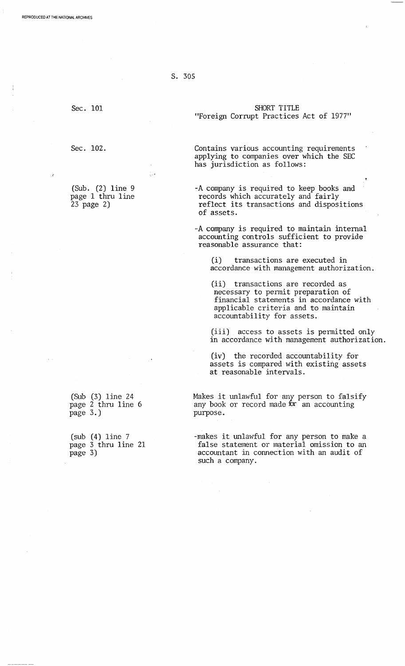S. 305

",.1

Sec. 101

Sec. 102.

(Sub. (2) line 9 page 1 thru line 23 page 2)

(Sub (3) line 24 page 2 thru line 6 page 3.)

(sub (4) line 7 page 3 thru line 21 page 3)

"Foreign Corrupt Practices Act of 1977"

Contains various accounting requirements applying to companies over which the SEC has jurisdiction as follows:

-A company is required to keep books and records which accurately and fairly reflect its transactions and dispositions of assets.

-A company is required to maintain internal accounting controls sufficient to provide reasonable assurance that:

(i) transactions are executed in accordance with management authorization.

(ii) transactions are recorded as necessary to permit preparation of financial statements in accordance with applicable criteria and to maintain accountability for assets.

(iii) access to assets is permitted only in accordance with management authorization.

(iv) the recorded accountability for assets is compared with existing assets at reasonable intervals.

Makes it unlawful for any person to falsify any book or record made  $\overline{\text{tr}}$  an accounting purpose.

-makes it unlawful for any person to make a false statement or material omission to an accountant in connection with an audit of such a company.